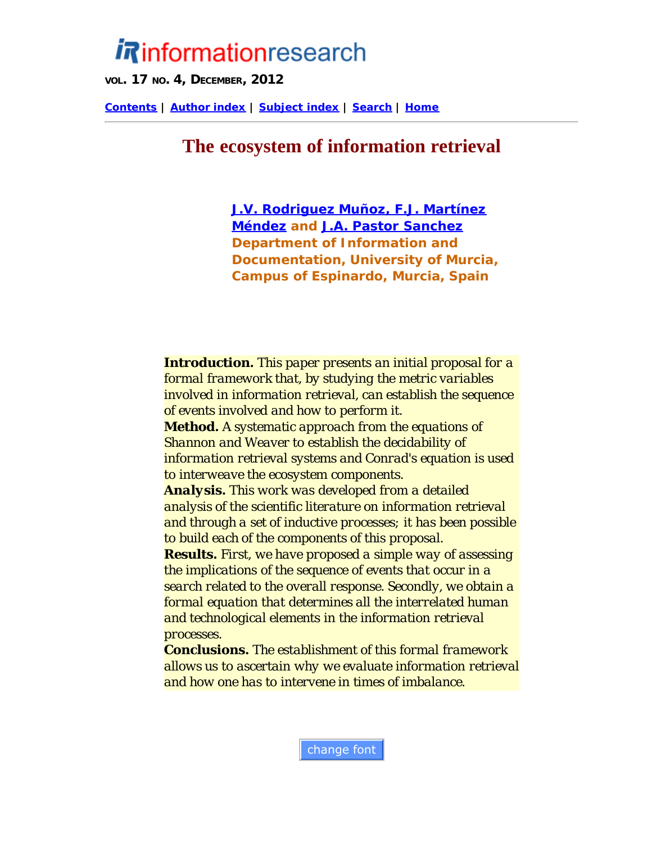# <span id="page-0-0"></span>*i* Rinformationresearch

**VOL. 17 NO. 4, DECEMBER, 2012**

**[Contents](http://informationr.net/ir/17-4/infres174.html) | [Author index](http://informationr.net/ir/iraindex.html) | [Subject index](http://informationr.net/ir/irsindex.html) | [Search](http://informationr.net/ir/search.html) | [Home](http://informationr.net/ir/index.html)**

# **The ecosystem of information retrieval**

*[J.V. Rodriguez Muñoz, F.J. Martínez](#page-21-0) [Méndez](#page-21-0) and [J.A. Pastor Sanchez](#page-21-0) Department of Information and Documentation, University of Murcia, Campus of Espinardo, Murcia, Spain*

*Introduction. This paper presents an initial proposal for a formal framework that, by studying the metric variables involved in information retrieval, can establish the sequence of events involved and how to perform it. Method. A systematic approach from the equations of Shannon and Weaver to establish the decidability of information retrieval systems and Conrad's equation is used to interweave the ecosystem components. Analysis. This work was developed from a detailed analysis of the scientific literature on information retrieval and through a set of inductive processes; it has been possible to build each of the components of this proposal. Results. First, we have proposed a simple way of assessing the implications of the sequence of events that occur in a search related to the overall response. Secondly, we obtain a formal equation that determines all the interrelated human and technological elements in the information retrieval processes.*

*Conclusions. The establishment of this formal framework allows us to ascertain why we evaluate information retrieval and how one has to intervene in times of imbalance.*

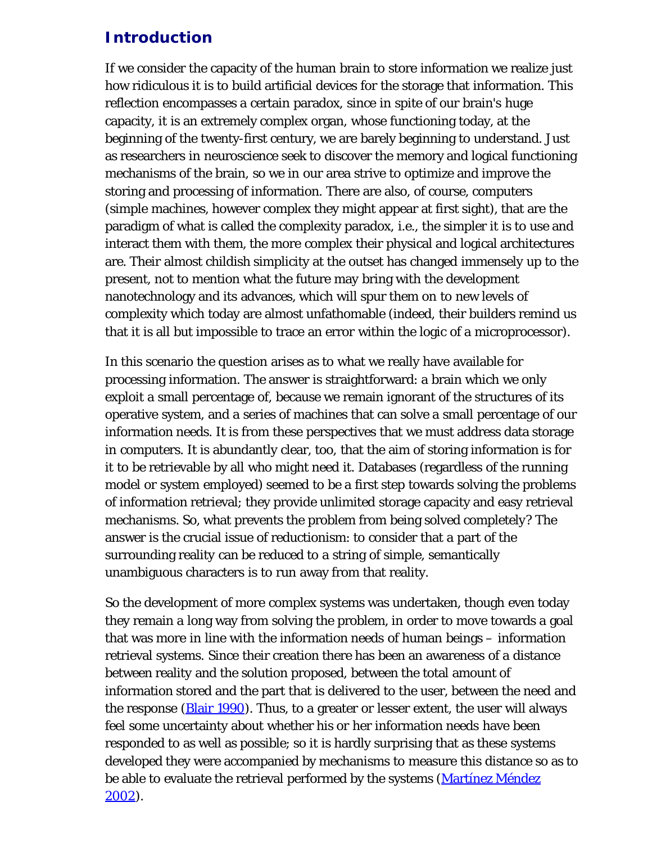## **Introduction**

If we consider the capacity of the human brain to store information we realize just how ridiculous it is to build artificial devices for the storage that information. This reflection encompasses a certain paradox, since in spite of our brain's huge capacity, it is an extremely complex organ, whose functioning today, at the beginning of the twenty-first century, we are barely beginning to understand. Just as researchers in neuroscience seek to discover the memory and logical functioning mechanisms of the brain, so we in our area strive to optimize and improve the storing and processing of information. There are also, of course, computers (simple machines, however complex they might appear at first sight), that are the paradigm of what is called the complexity paradox, i.e., the simpler it is to use and interact them with them, the more complex their physical and logical architectures are. Their almost childish simplicity at the outset has changed immensely up to the present, not to mention what the future may bring with the development nanotechnology and its advances, which will spur them on to new levels of complexity which today are almost unfathomable (indeed, their builders remind us that it is all but impossible to trace an error within the logic of a microprocessor).

In this scenario the question arises as to what we really have available for processing information. The answer is straightforward: a brain which we only exploit a small percentage of, because we remain ignorant of the structures of its operative system, and a series of machines that can solve a small percentage of our information needs. It is from these perspectives that we must address data storage in computers. It is abundantly clear, too, that the aim of storing information is for it to be retrievable by all who might need it. Databases (regardless of the running model or system employed) seemed to be a first step towards solving the problems of information retrieval; they provide unlimited storage capacity and easy retrieval mechanisms. So, what prevents the problem from being solved completely? The answer is the crucial issue of reductionism: to consider that a part of the surrounding reality can be reduced to a string of simple, semantically unambiguous characters is to run away from that reality.

So the development of more complex systems was undertaken, though even today they remain a long way from solving the problem, in order to move towards a goal that was more in line with the information needs of human beings – information retrieval systems. Since their creation there has been an awareness of a distance between reality and the solution proposed, between the total amount of information stored and the part that is delivered to the user, between the need and the response (**Blair 1990**). Thus, to a greater or lesser extent, the user will always feel some uncertainty about whether his or her information needs have been responded to as well as possible; so it is hardly surprising that as these systems developed they were accompanied by mechanisms to measure this distance so as to be able to evaluate the retrieval performed by the systems (Martinez Méndez [2002\)](#page-24-0).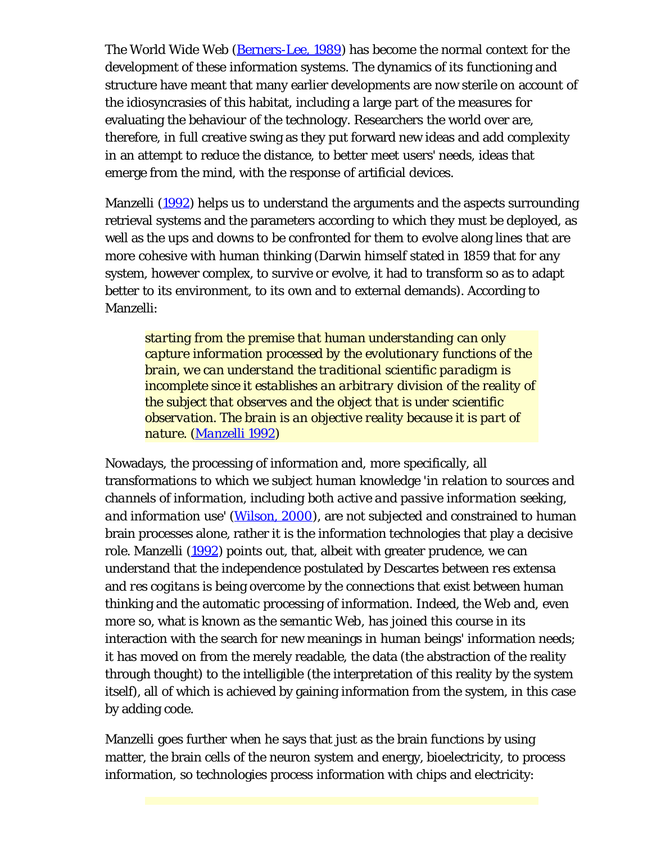The World Wide Web [\(Berners-Lee, 1989](#page-24-0)) has become the normal context for the development of these information systems. The dynamics of its functioning and structure have meant that many earlier developments are now sterile on account of the idiosyncrasies of this habitat, including a large part of the measures for evaluating the behaviour of the technology. Researchers the world over are, therefore, in full creative swing as they put forward new ideas and add complexity in an attempt to reduce the distance, to better meet users' needs, ideas that emerge from the mind, with the response of artificial devices.

Manzelli ([1992\)](#page-24-0) helps us to understand the arguments and the aspects surrounding retrieval systems and the parameters according to which they must be deployed, as well as the ups and downs to be confronted for them to evolve along lines that are more cohesive with human thinking (Darwin himself stated in 1859 that for any system, however complex, to survive or evolve, it had to transform so as to adapt better to its environment, to its own and to external demands). According to Manzelli:

*starting from the premise that human understanding can only capture information processed by the evolutionary functions of the brain, we can understand the traditional scientific paradigm is incomplete since it establishes an arbitrary division of the reality of the subject that observes and the object that is under scientific observation. The brain is an objective reality because it is part of nature. [\(Manzelli 1992](#page-24-0))*

Nowadays, the processing of information and, more specifically, all transformations to which we subject human knowledge '*in relation to sources and channels of information, including both active and passive information seeking, and information use*' ([Wilson, 2000\)](#page-24-0), are not subjected and constrained to human brain processes alone, rather it is the information technologies that play a decisive role. Manzelli ([1992\)](#page-24-0) points out, that, albeit with greater prudence, we can understand that the independence postulated by Descartes between *res extensa* and *res cogitans* is being overcome by the connections that exist between human thinking and the automatic processing of information. Indeed, the Web and, even more so, what is known as the *semantic Web*, has joined this course in its interaction with the search for new meanings in human beings' information needs; it has moved on from the merely readable, the data (the abstraction of the reality through thought) to the intelligible (the interpretation of this reality by the system itself), all of which is achieved by gaining information from the system, in this case by adding code.

Manzelli goes further when he says that just as the brain functions by using matter, the brain cells of the neuron system and energy, bioelectricity, to process information, so technologies process information with chips and electricity: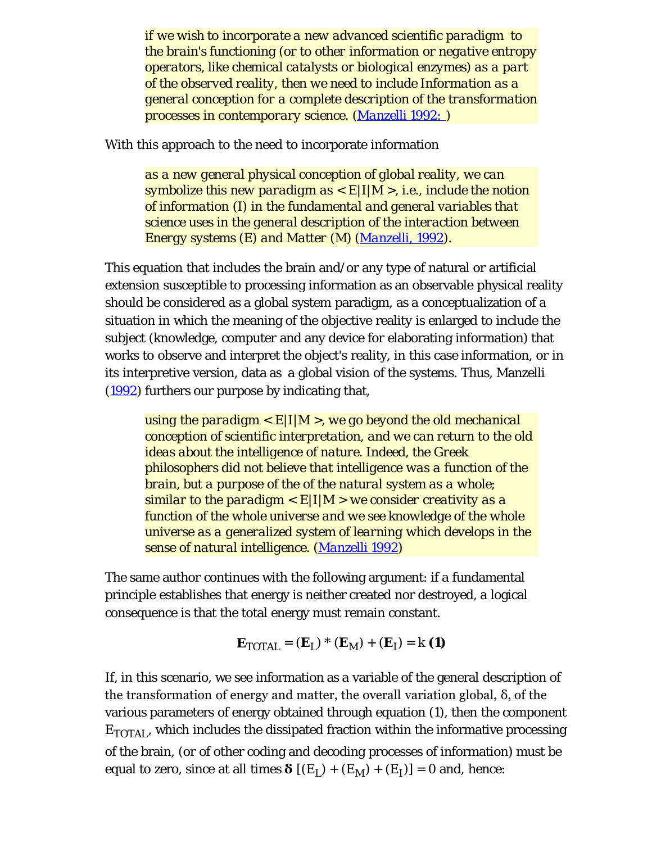*if we wish to incorporate a new advanced scientific paradigm to the brain's functioning (or to other information or negative entropy operators, like chemical catalysts or biological enzymes) as a part of the observed reality, then we need to include Information as a general conception for a complete description of the transformation processes in contemporary science. ([Manzelli 1992: \)](#page-24-0)*

With this approach to the need to incorporate information

*as a new general physical conception of global reality, we can symbolize this new paradigm as < E|I|M >, i.e., include the notion of information (I) in the fundamental and general variables that science uses in the general description of the interaction between Energy systems (E) and Matter (M) ([Manzelli, 1992\)](#page-24-0).*

This equation that includes the brain and/or any type of natural or artificial extension susceptible to processing information as an observable physical reality should be considered as a global system paradigm, as a conceptualization of a situation in which the meaning of the objective reality is enlarged to include the subject (knowledge, computer and any device for elaborating information) that works to observe and interpret the object's reality, in this case information, or in its interpretive version, data as a global vision of the systems. Thus, Manzelli ([1992\)](#page-24-0) furthers our purpose by indicating that,

*using the paradigm < E|I|M >, we go beyond the old mechanical conception of scientific interpretation, and we can return to the old ideas about the intelligence of nature. Indeed, the Greek philosophers did not believe that intelligence was a function of the brain, but a purpose of the of the natural system as a whole; similar to the paradigm < E|I|M > we consider creativity as a function of the whole universe and we see knowledge of the whole universe as a generalized system of learning which develops in the sense of natural intelligence. ([Manzelli 1992\)](#page-24-0)*

The same author continues with the following argument: if a fundamental principle establishes that energy is neither created nor destroyed, a logical consequence is that the total energy must remain constant.

$$
\mathbf{E}_{\text{TOTAL}} = (\mathbf{E}_{L}) \cdot (\mathbf{E}_{M}) + (\mathbf{E}_{I}) = k \text{ (1)}
$$

If, in this scenario, we see information as a variable of the general description of the transformation of energy and matter, the overall variation global, δ, of the various parameters of energy obtained through equation (1), then the component  $E_{\text{TOTAL}}$ , which includes the dissipated fraction within the informative processing of the brain, (or of other coding and decoding processes of information) must be equal to zero, since at all times  $\delta$  [(E<sub>L</sub>) + (E<sub>M</sub>) + (E<sub>I</sub>)] = 0 and, hence: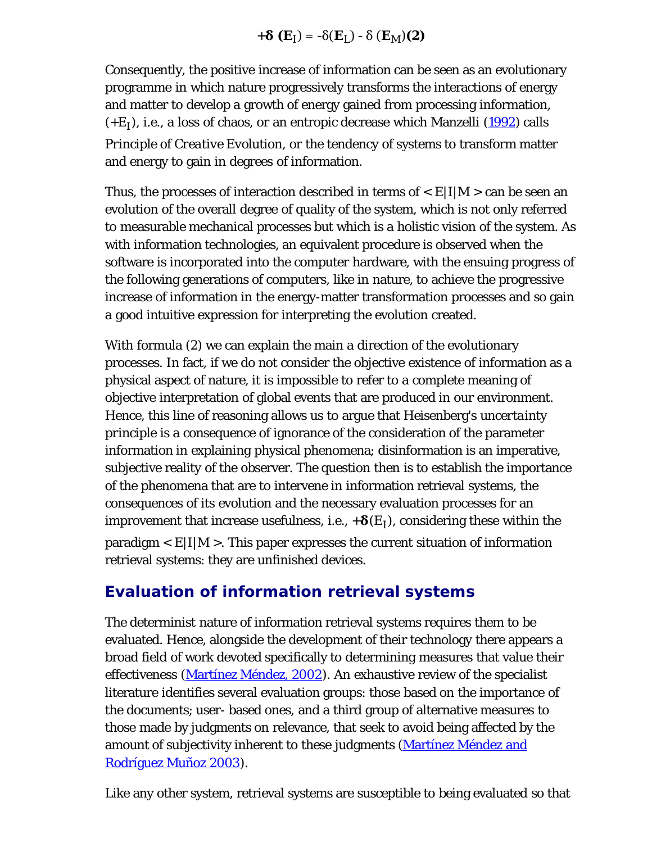$$
+ \delta \left( \mathbf{E}_{\mathrm{I}} \right) = - \delta(\mathbf{E}_{\mathrm{L}}) - \delta \left( \mathbf{E}_{\mathrm{M}} \right) (2)
$$

Consequently, the positive increase of information can be seen as an evolutionary programme in which nature progressively transforms the interactions of energy and matter to develop a growth of energy gained from processing information,  $(+E_I)$ , i.e., a loss of chaos, or an entropic decrease which Manzelli ([1992\)](#page-24-0) calls *Principle of Creative Evolution*, or the tendency of systems to transform matter and energy to gain in degrees of information.

Thus, the processes of interaction described in terms of  $\langle E|I|M\rangle$  can be seen an evolution of the overall degree of quality of the system, which is not only referred to measurable mechanical processes but which is a holistic vision of the system. As with information technologies, an equivalent procedure is observed when the software is incorporated into the computer hardware, with the ensuing progress of the following generations of computers, like in nature, to achieve the progressive increase of information in the energy-matter transformation processes and so gain a good intuitive expression for interpreting the evolution created.

With formula (2) we can explain the main a direction of the evolutionary processes. In fact, if we do not consider the objective existence of information as a physical aspect of nature, it is impossible to refer to a complete meaning of objective interpretation of global events that are produced in our environment. Hence, this line of reasoning allows us to argue that Heisenberg's *uncertainty principle* is a consequence of ignorance of the consideration of the parameter information in explaining physical phenomena; disinformation is an imperative, subjective reality of the observer. The question then is to establish the importance of the phenomena that are to intervene in information retrieval systems, the consequences of its evolution and the necessary evaluation processes for an improvement that increase usefulness, i.e.,  $+\delta(E_I)$ , considering these within the  $\text{paradigm} < E[I|M]$ . This paper expresses the current situation of information retrieval systems: they are unfinished devices.

#### **Evaluation of information retrieval systems**

The determinist nature of information retrieval systems requires them to be evaluated. Hence, alongside the development of their technology there appears a broad field of work devoted specifically to determining measures that value their effectiveness [\(Martínez Méndez, 2002](#page-24-0)). An exhaustive review of the specialist literature identifies several evaluation groups: those based on the importance of the documents; user- based ones, and a third group of alternative measures to those made by judgments on relevance, that seek to avoid being affected by the amount of subjectivity inherent to these judgments (Martinez Méndez and [Rodríguez Muñoz 2003\)](#page-24-0).

Like any other system, retrieval systems are susceptible to being evaluated so that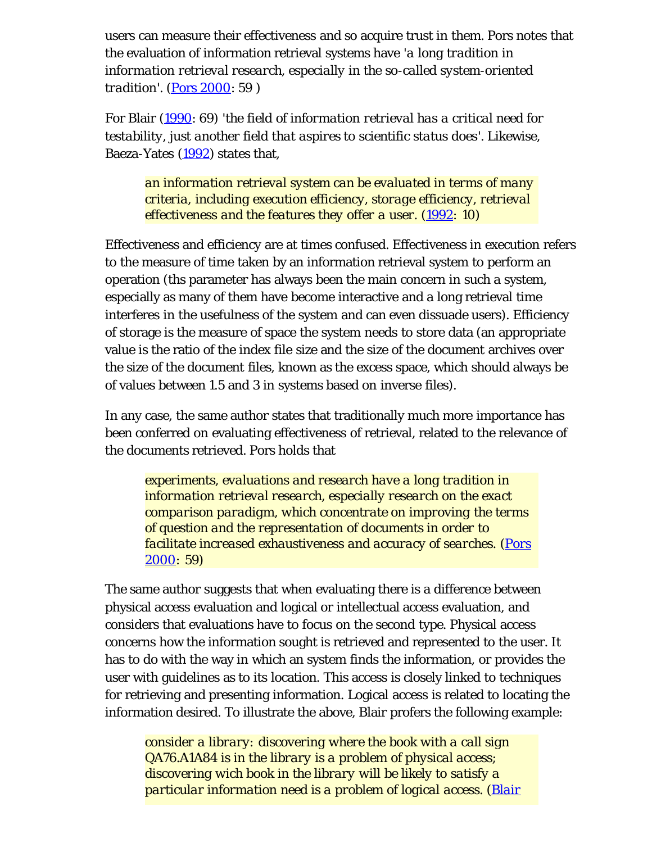users can measure their effectiveness and so acquire trust in them. Pors notes that the evaluation of information retrieval systems have '*a long tradition in information retrieval research, especially in the so-called system-oriented tradition*'. ([Pors 2000:](#page-24-0) 59 )

For Blair ([1990](#page-24-0): 69) '*the field of information retrieval has a critical need for testability, just another field that aspires to scientific status does*'. Likewise, Baeza-Yates [\(1992\)](#page-24-0) states that,

*an information retrieval system can be evaluated in terms of many criteria, including execution efficiency, storage efficiency, retrieval effectiveness and the features they offer a user. ([1992:](#page-24-0) 10)*

Effectiveness and efficiency are at times confused. Effectiveness in execution refers to the measure of time taken by an information retrieval system to perform an operation (ths parameter has always been the main concern in such a system, especially as many of them have become interactive and a long retrieval time interferes in the usefulness of the system and can even dissuade users). Efficiency of storage is the measure of space the system needs to store data (an appropriate value is the ratio of the index file size and the size of the document archives over the size of the document files, known as the excess space, which should always be of values between 1.5 and 3 in systems based on inverse files).

In any case, the same author states that traditionally much more importance has been conferred on evaluating effectiveness of retrieval, related to the relevance of the documents retrieved. Pors holds that

*experiments, evaluations and research have a long tradition in information retrieval research, especially research on the exact comparison paradigm, which concentrate on improving the terms of question and the representation of documents in order to facilitate increased exhaustiveness and accuracy of searches. [\(Pors](#page-24-0) [2000](#page-24-0): 59)*

The same author suggests that when evaluating there is a difference between physical access evaluation and logical or intellectual access evaluation, and considers that evaluations have to focus on the second type. Physical access concerns how the information sought is retrieved and represented to the user. It has to do with the way in which an system finds the information, or provides the user with guidelines as to its location. This access is closely linked to techniques for retrieving and presenting information. Logical access is related to locating the information desired. To illustrate the above, Blair profers the following example:

*consider a library: discovering where the book with a call sign QA76.A1A84 is in the library is a problem of physical access; discovering wich book in the library will be likely to satisfy a particular information need is a problem of logical access. ([Blair](#page-24-0)*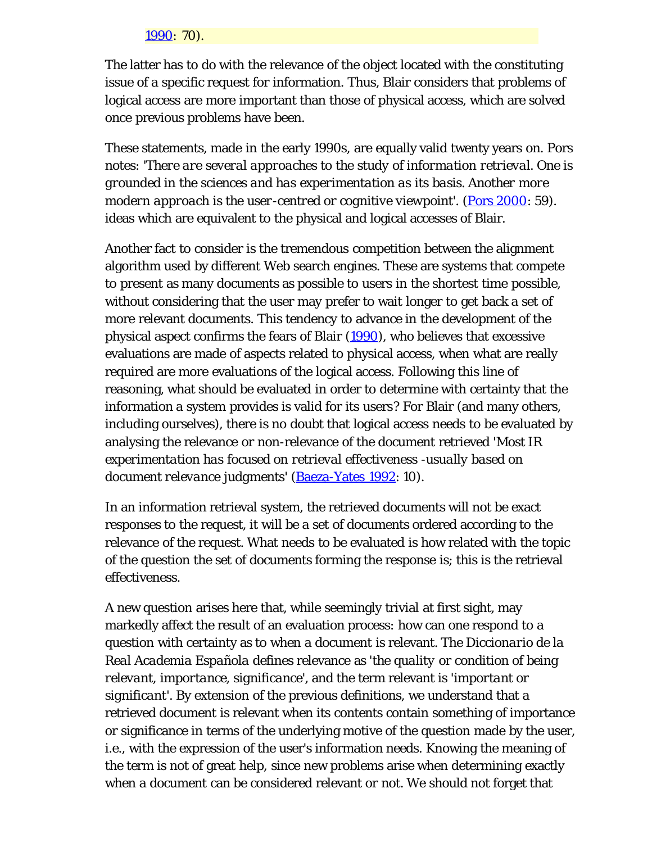#### *[1990](#page-24-0): 70).*

The latter has to do with the relevance of the object located with the constituting issue of a specific request for information. Thus, Blair considers that problems of logical access are more important than those of physical access, which are solved once previous problems have been.

These statements, made in the early 1990s, are equally valid twenty years on. Pors notes: *'There are several approaches to the study of information retrieval. One is grounded in the sciences and has experimentation as its basis. Another more modern approach is the user-centred or cognitive viewpoint'.* (*[Pors 2000](#page-24-0): 59*). ideas which are equivalent to the physical and logical accesses of Blair.

Another fact to consider is the tremendous competition between the alignment algorithm used by different Web search engines. These are systems that compete to present as many documents as possible to users in the shortest time possible, without considering that the user may prefer to wait longer to get back a set of more relevant documents. This tendency to advance in the development of the physical aspect confirms the fears of Blair ([1990](#page-24-0)), who believes that excessive evaluations are made of aspects related to physical access, when what are really required are more evaluations of the logical access. Following this line of reasoning, what should be evaluated in order to determine with certainty that the information a system provides is valid for its users? For Blair (and many others, including ourselves), there is no doubt that logical access needs to be evaluated by analysing the relevance or non-relevance of the document retrieved '*Most IR experimentation has focused on retrieval effectiveness -usually based on document relevance judgments*' ([Baeza-Yates 1992:](#page-24-0) 10).

In an information retrieval system, the retrieved documents will not be exact responses to the request, it will be a set of documents ordered according to the relevance of the request. What needs to be evaluated is how related with the topic of the question the set of documents forming the response is; this is the retrieval effectiveness.

A new question arises here that, while seemingly trivial at first sight, may markedly affect the result of an evaluation process: how can one respond to a question with certainty as to when a document is relevant. The *Diccionario de la Real Academia Española* defines relevance as '*the quality or condition of being relevant, importance, significance*', and the term relevant is '*important or significant*'. By extension of the previous definitions, we understand that a retrieved document is relevant when its contents contain something of importance or significance in terms of the underlying motive of the question made by the user, i.e., with the expression of the user's information needs. Knowing the meaning of the term is not of great help, since new problems arise when determining exactly when a document can be considered relevant or not. We should not forget that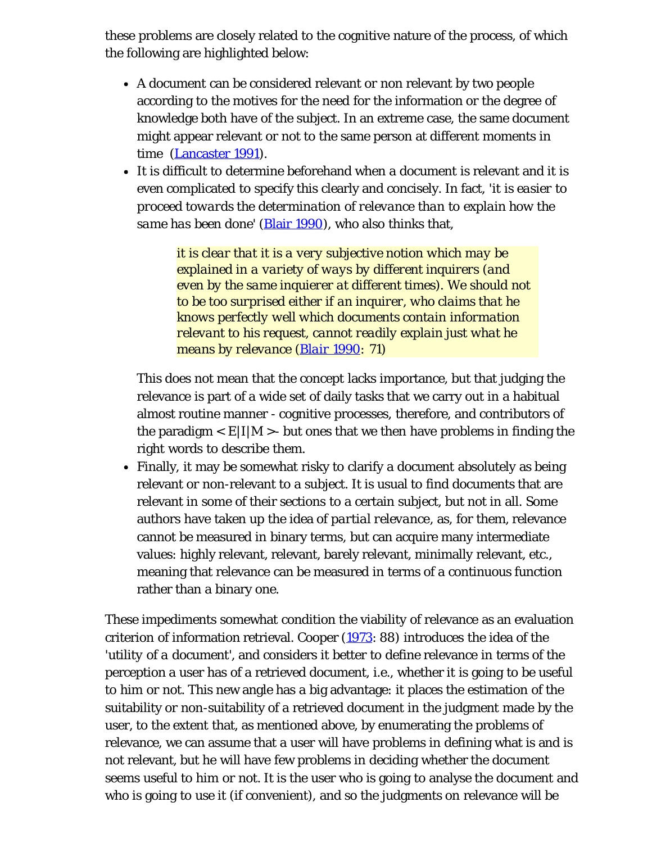these problems are closely related to the cognitive nature of the process, of which the following are highlighted below:

- A document can be considered relevant or non relevant by two people according to the motives for the need for the information or the degree of knowledge both have of the subject. In an extreme case, the same document might appear relevant or not to the same person at different moments in time ([Lancaster 1991\)](#page-24-0).
- It is difficult to determine beforehand when a document is relevant and it is even complicated to specify this clearly and concisely. In fact, '*it is easier to proceed towards the determination of relevance than to explain how the same has been done*' ([Blair 1990\)](#page-24-0), who also thinks that,

*it is clear that it is a very subjective notion which may be explained in a variety of ways by different inquirers (and even by the same inquierer at different times). We should not to be too surprised either if an inquirer, who claims that he knows perfectly well which documents contain information relevant to his request, cannot readily explain just what he means by relevance ([Blair 1990:](#page-24-0) 71)*

This does not mean that the concept lacks importance, but that judging the relevance is part of a wide set of daily tasks that we carry out in a habitual almost routine manner - cognitive processes, therefore, and contributors of the paradigm  $\langle E|I|M\rangle$ - but ones that we then have problems in finding the right words to describe them.

• Finally, it may be somewhat risky to clarify a document absolutely as being relevant or non-relevant to a subject. It is usual to find documents that are relevant in some of their sections to a certain subject, but not in all. Some authors have taken up the idea of *partial relevance*, as, for them, relevance cannot be measured in binary terms, but can acquire many intermediate values: highly relevant, relevant, barely relevant, minimally relevant, etc., meaning that relevance can be measured in terms of a continuous function rather than a binary one.

These impediments somewhat condition the viability of relevance as an evaluation criterion of information retrieval. Cooper ([1973:](#page-24-0) 88) introduces the idea of the '*utility of a document*', and considers it better to define relevance in terms of the perception a user has of a retrieved document, i.e., whether it is going to be useful to him or not. This new angle has a big advantage: it places the estimation of the suitability or non-suitability of a retrieved document in the judgment made by the user, to the extent that, as mentioned above, by enumerating the problems of relevance, we can assume that a user will have problems in defining what is and is not relevant, but he will have few problems in deciding whether the document seems useful to him or not. It is the user who is going to analyse the document and who is going to use it (if convenient), and so the judgments on relevance will be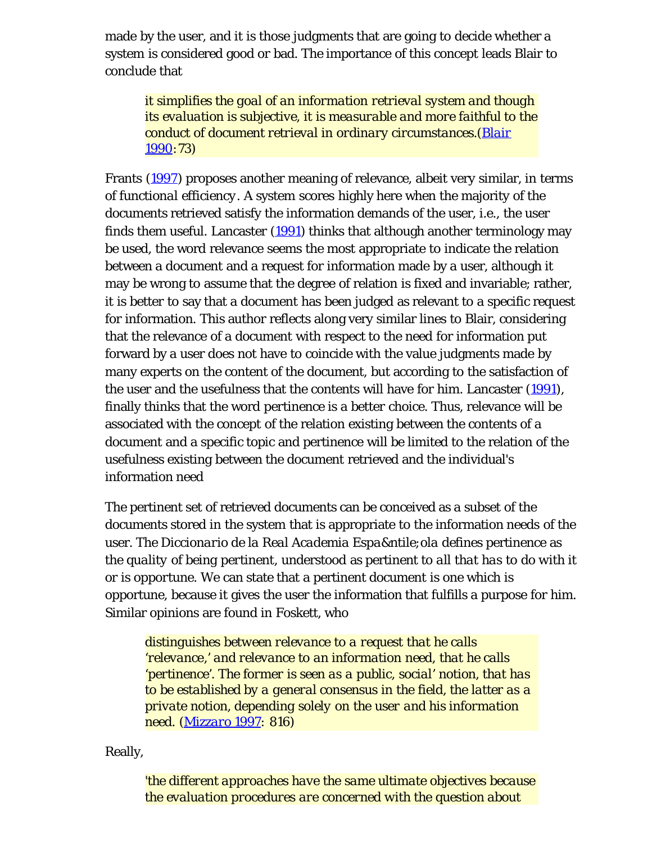made by the user, and it is those judgments that are going to decide whether a system is considered good or bad. The importance of this concept leads Blair to conclude that

*it simplifies the goal of an information retrieval system and though its evaluation is subjective, it is measurable and more faithful to the conduct of document retrieval in ordinary circumstances.([Blair](#page-24-0) [1990](#page-24-0):73)*

Frants [\(1997\)](#page-24-0) proposes another meaning of relevance, albeit very similar, in terms of *functional efficiency*. A system scores highly here when the majority of the documents retrieved satisfy the information demands of the user, i.e., the user finds them useful. Lancaster  $(1991)$  $(1991)$  thinks that although another terminology may be used, the word relevance seems the most appropriate to indicate the relation between a document and a request for information made by a user, although it may be wrong to assume that the degree of relation is fixed and invariable; rather, it is better to say that a document has been judged as relevant to a specific request for information. This author reflects along very similar lines to Blair, considering that the relevance of a document with respect to the need for information put forward by a user does not have to coincide with the value judgments made by many experts on the content of the document, but according to the satisfaction of the user and the usefulness that the contents will have for him. Lancaster [\(1991](#page-24-0)), finally thinks that the word *pertinence* is a better choice. Thus, relevance will be associated with the concept of the relation existing between the contents of a document and a specific topic and pertinence will be limited to the relation of the usefulness existing between the document retrieved and the individual's information need

The pertinent set of retrieved documents can be conceived as a subset of the documents stored in the system that is appropriate to the information needs of the user. The *Diccionario de la Real Academia Espa&ntile;ola* defines pertinence as the *quality of being pertinent*, understood as pertinent to *all that has to do with it or is opportune*. We can state that a pertinent document is one which is opportune, because it gives the user the information that fulfills a purpose for him. Similar opinions are found in Foskett, who

*distinguishes between relevance to a request that he calls 'relevance,' and relevance to an information need, that he calls 'pertinence'. The former is seen as a public, social' notion, that has to be established by a general consensus in the field, the latter as a private notion, depending solely on the user and his information need. ([Mizzaro 1997:](#page-24-0) 816)*

Really,

*'the different approaches have the same ultimate objectives because the evaluation procedures are concerned with the question about*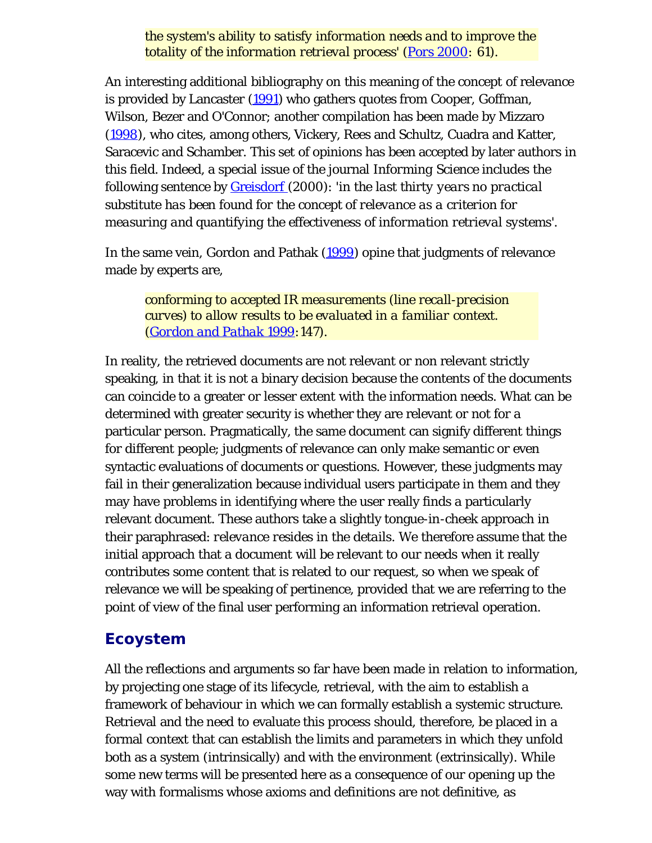*the system's ability to satisfy information needs and to improve the totality of the information retrieval process' ([Pors 2000:](#page-24-0) 61).*

An interesting additional bibliography on this meaning of the concept of relevance is provided by Lancaster [\(1991](#page-24-0)) who gathers quotes from Cooper, Goffman, Wilson, Bezer and O'Connor; another compilation has been made by Mizzaro ([1998](#page-0-0)), who cites, among others, Vickery, Rees and Schultz, Cuadra and Katter, Saracevic and Schamber. This set of opinions has been accepted by later authors in this field. Indeed, a special issue of the journal *Informing Science* includes the following sentence by [Greisdorf](#page-24-0) (2000): '*in the last thirty years no practical substitute has been found for the concept of relevance as a criterion for measuring and quantifying the effectiveness of information retrieval systems*'.

In the same vein, Gordon and Pathak [\(1999](#page-24-0)) opine that judgments of relevance made by experts are,

*conforming to accepted IR measurements (line recall-precision curves) to allow results to be evaluated in a familiar context. ([Gordon and Pathak 1999:](#page-24-0)147).*

In reality, the retrieved documents are not relevant or non relevant strictly speaking, in that it is not a binary decision because the contents of the documents can coincide to a greater or lesser extent with the information needs. What can be determined with greater security is whether they are relevant or not for a particular person. Pragmatically, the same document can signify different things for different people; judgments of relevance can only make semantic or even syntactic evaluations of documents or questions. However, these judgments may fail in their generalization because individual users participate in them and they may have problems in identifying where the user really finds a particularly relevant document. These authors take a slightly tongue-in-cheek approach in their paraphrased: *relevance resides in the details*. We therefore assume that the initial approach that a document will be relevant to our needs when it really contributes some content that is related to our request, so when we speak of relevance we will be speaking of pertinence, provided that we are referring to the point of view of the final user performing an information retrieval operation.

#### **Ecoystem**

All the reflections and arguments so far have been made in relation to information, by projecting one stage of its lifecycle, retrieval, with the aim to establish a framework of behaviour in which we can formally establish a systemic structure. Retrieval and the need to evaluate this process should, therefore, be placed in a formal context that can establish the limits and parameters in which they unfold both as a system (intrinsically) and with the environment (extrinsically). While some new terms will be presented here as a consequence of our opening up the way with formalisms whose axioms and definitions are not definitive, as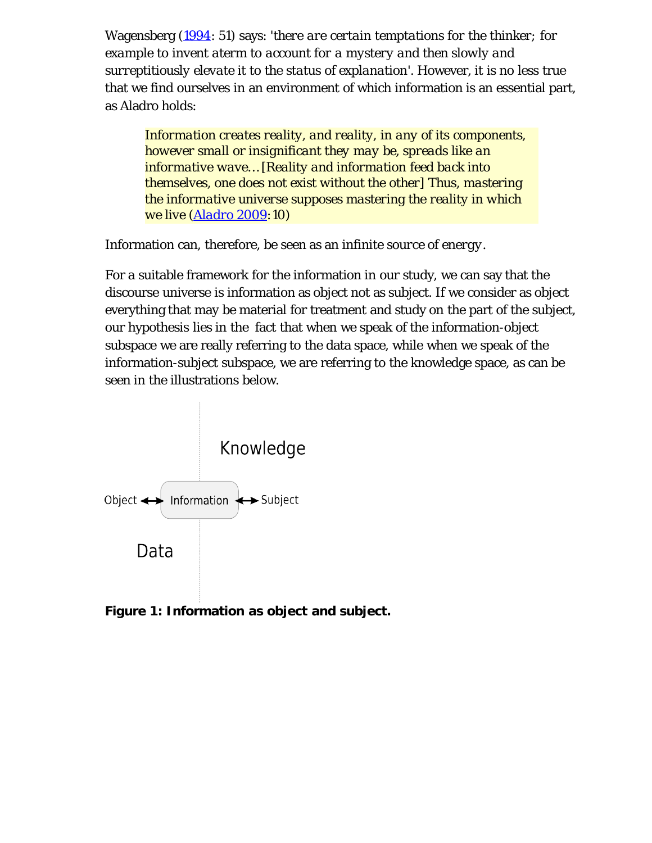Wagensberg ([1994](#page-24-0): 51) says: '*there are certain temptations for the thinker; for example to invent aterm to account for a mystery and then slowly and surreptitiously elevate it to the status of explanation*'. However, it is no less true that we find ourselves in an environment of which information is an essential part, as Aladro holds:

*Information creates reality, and reality, in any of its components, however small or insignificant they may be, spreads like an informative wave… [Reality and information feed back into themselves, one does not exist without the other] Thus, mastering the informative universe supposes mastering the reality in which we live ([Aladro 2009:](#page-24-0)10)*

Information can, therefore, be seen as an *infinite source of energy*.

For a suitable framework for the information in our study, we can say that the discourse universe is information as object not as subject. If we consider as object everything that may be material for treatment and study on the part of the subject, our hypothesis lies in the fact that when we speak of the information-object subspace we are really referring to the data space, while when we speak of the information-subject subspace, we are referring to the knowledge space, as can be seen in the illustrations below.



**Figure 1: Information as object and subject.**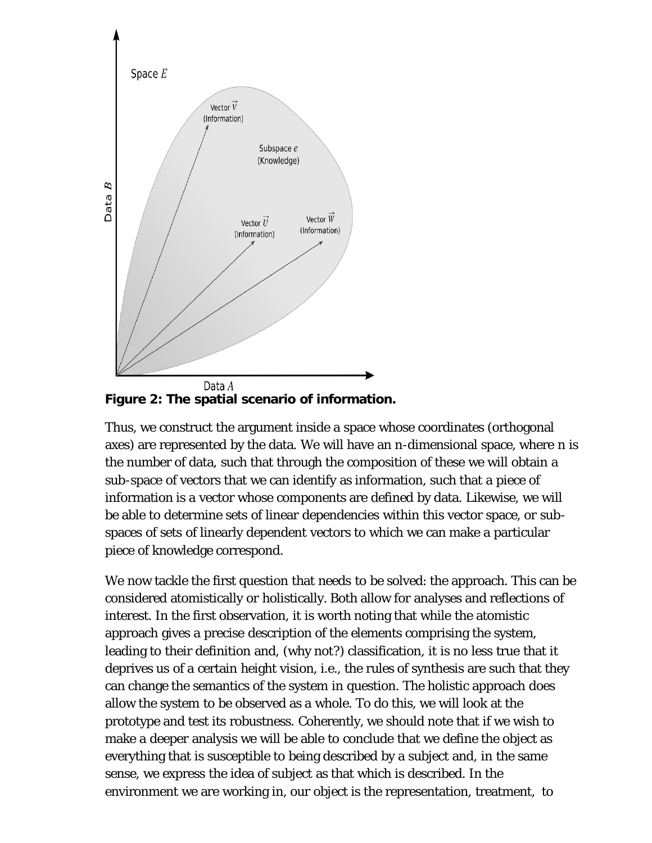

**Figure 2: The spatial scenario of information.**

Thus, we construct the argument inside a space whose coordinates (orthogonal axes) are represented by the data. We will have an n-dimensional space, where n is the number of data, such that through the composition of these we will obtain a sub-space of vectors that we can identify as information, such that a piece of information is a vector whose components are defined by data. Likewise, we will be able to determine sets of linear dependencies within this vector space, or subspaces of sets of linearly dependent vectors to which we can make a particular piece of knowledge correspond.

We now tackle the first question that needs to be solved: the approach. This can be considered atomistically or holistically. Both allow for analyses and reflections of interest. In the first observation, it is worth noting that while the atomistic approach gives a precise description of the elements comprising the system, leading to their definition and, (why not?) classification, it is no less true that it deprives us of a certain height vision, i.e., the rules of synthesis are such that they can change the semantics of the system in question. The holistic approach does allow the system to be observed as a whole. To do this, we will look at the prototype and test its robustness. Coherently, we should note that if we wish to make a deeper analysis we will be able to conclude that we define the object as everything that is susceptible to being described by a subject and, in the same sense, we express the idea of subject as that which is described. In the environment we are working in, our object is the representation, treatment, to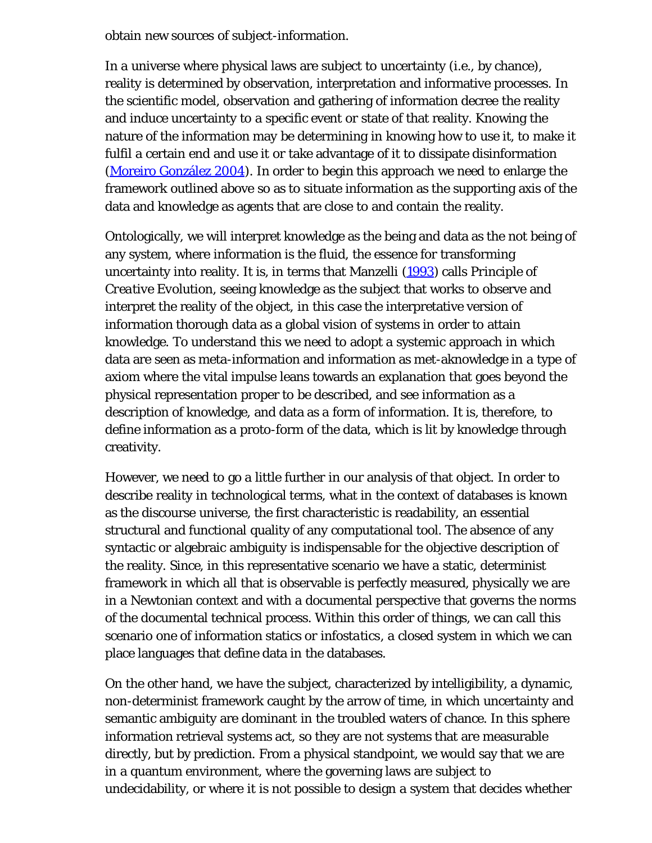obtain new sources of subject-information.

In a universe where physical laws are subject to uncertainty (i.e., by chance), reality is determined by observation, interpretation and informative processes. In the scientific model, observation and gathering of information decree the reality and induce uncertainty to a specific event or state of that reality. Knowing the nature of the information may be determining in knowing how to use it, to make it fulfil a certain end and use it or take advantage of it to dissipate disinformation ([Moreiro González 2004\)](#page-24-0). In order to begin this approach we need to enlarge the framework outlined above so as to situate information as the supporting axis of the data and knowledge as agents that are close to and contain the reality.

Ontologically, we will interpret knowledge as the being and data as the not being of any system, where information is the fluid, the essence for transforming uncertainty into reality. It is, in terms that Manzelli ([1993\)](#page-24-0) calls *Principle of Creative Evolution*, seeing knowledge as the subject that works to observe and interpret the reality of the object, in this case the interpretative version of information thorough data as a global vision of systems in order to attain knowledge. To understand this we need to adopt a systemic approach in which data are seen as meta-information and information as met-aknowledge in a type of axiom where the vital impulse leans towards an explanation that goes beyond the physical representation proper to be described, and see information as a description of knowledge, and data as a form of information. It is, therefore, to define information as a proto-form of the data, which is lit by knowledge through creativity.

However, we need to go a little further in our analysis of that object. In order to describe reality in technological terms, what in the context of databases is known as the discourse universe, the first characteristic is readability, an essential structural and functional quality of any computational tool. The absence of any syntactic or algebraic ambiguity is indispensable for the objective description of the reality. Since, in this representative scenario we have a static, determinist framework in which all that is observable is perfectly measured, physically we are in a Newtonian context and with a documental perspective that governs the norms of the documental technical process. Within this order of things, we can call this scenario one of information statics or *infostatics*, a closed system in which we can place languages that define data in the databases.

On the other hand, we have the subject, characterized by intelligibility, a dynamic, non-determinist framework caught by the arrow of time, in which uncertainty and semantic ambiguity are dominant in the troubled waters of chance. In this sphere information retrieval systems act, so they are not systems that are measurable directly, but by prediction. From a physical standpoint, we would say that we are in a quantum environment, where the governing laws are subject to undecidability, or where it is not possible to design a system that decides whether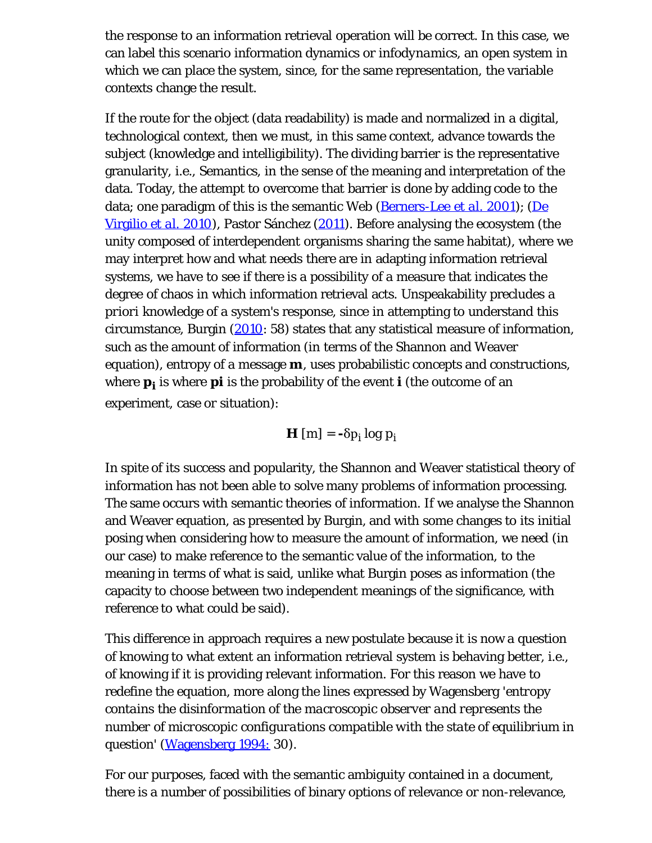the response to an information retrieval operation will be correct. In this case, we can label this scenario information dynamics or *infodynamics*, an open system in which we can place the system, since, for the same representation, the variable contexts change the result.

If the route for the object (data readability) is made and normalized in a digital, technological context, then we must, in this same context, advance towards the subject (knowledge and intelligibility). The dividing barrier is the representative granularity, i.e., Semantics, in the sense of the meaning and interpretation of the data. Today, the attempt to overcome that barrier is done by adding code to the data; one paradigm of this is the semantic Web [\(Berners-Lee](#page-24-0) *[et al](#page-24-0)*[. 2001](#page-24-0)); ([De](#page-24-0) [Virgilio](#page-24-0) *[et al.](#page-24-0)* [2010](#page-24-0)), Pastor Sánchez ([2011\)](#page-24-0). Before analysing the ecosystem (the unity composed of interdependent organisms sharing the same habitat), where we may interpret how and what needs there are in adapting information retrieval systems, we have to see if there is a possibility of a measure that indicates the degree of chaos in which information retrieval acts. Unspeakability precludes *a priori* knowledge of a system's response, since in attempting to understand this circumstance, Burgin ([2010](#page-24-0): 58) states that any statistical measure of information, such as the amount of information (in terms of the Shannon and Weaver equation), entropy of a message **m**, uses probabilistic concepts and constructions, where **pi** is where **pi** is the probability of the event **i** (the outcome of an experiment, case or situation):

 $\mathbf{H}$  [m] =  $-\delta p_i \log p_i$ 

In spite of its success and popularity, the Shannon and Weaver statistical theory of information has not been able to solve many problems of information processing. The same occurs with semantic theories of information. If we analyse the Shannon and Weaver equation, as presented by Burgin, and with some changes to its initial posing when considering how to measure the amount of information, we need (in our case) to make reference to the semantic value of the information, to the meaning in terms of what is said, unlike what Burgin poses as information (the capacity to choose between two independent meanings of the significance, with reference to what could be said).

This difference in approach requires a new postulate because it is now a question of knowing to what extent an information retrieval system is behaving better, i.e., of knowing if it is providing relevant information. For this reason we have to redefine the equation, more along the lines expressed by Wagensberg '*entropy contains the disinformation of the macroscopic observer and represents the number of microscopic configurations compatible with the state of equilibrium in question*' ([Wagensberg 1994:](#page-24-0) 30).

For our purposes, faced with the semantic ambiguity contained in a document, there is a number of possibilities of binary options of relevance or non-relevance,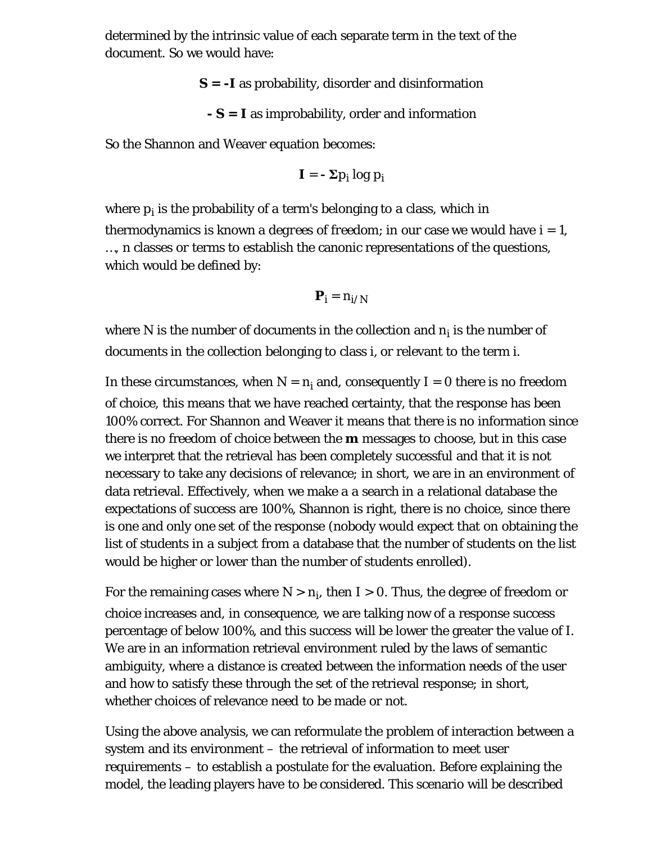determined by the intrinsic value of each separate term in the text of the document. So we would have:

**S = -I** as probability, disorder and disinformation

**- S = I** as improbability, order and information

So the Shannon and Weaver equation becomes:

$$
\bm{I}=-\,\bm{\Sigma}p_i\,log\,p_i
$$

where  $\bm{{\mathsf{p}}}_{\mathsf{i}}$  is the probability of a term's belonging to a class, which in thermodynamics is known a *degrees of freedom*; in our case we would have i = 1, …, n classes or terms to establish the canonic representations of the questions, which would be defined by:

$$
\bm{P}_i = n_{i/N}
$$

where N is the number of documents in the collection and  $\mathbf{n_i}$  is the number of documents in the collection belonging to class i, or relevant to the term i.

In these circumstances, when  $N = n_i$  and, consequently I = 0 there is no freedom of choice, this means that we have reached certainty, that the response has been 100% correct. For Shannon and Weaver it means that there is no information since there is no freedom of choice between the **m** messages to choose, but in this case we interpret that the retrieval has been completely successful and that it is not necessary to take any decisions of relevance; in short, we are in an environment of data retrieval. Effectively, when we make a a search in a relational database the expectations of success are 100%, Shannon is right, there is no choice, since there is one and only one set of the response (nobody would expect that on obtaining the list of students in a subject from a database that the number of students on the list would be higher or lower than the number of students enrolled).

For the remaining cases where  $N > n_{\mathbf{i}}$ , then I  $> 0$ . Thus, the degree of freedom or choice increases and, in consequence, we are talking now of a response success percentage of below 100%, and this success will be lower the greater the value of I. We are in an information retrieval environment ruled by the laws of semantic ambiguity, where a distance is created between the information needs of the user and how to satisfy these through the set of the retrieval response; in short, whether choices of relevance need to be made or not.

Using the above analysis, we can reformulate the problem of interaction between a system and its environment – the retrieval of information to meet user requirements – to establish a postulate for the evaluation. Before explaining the model, the leading players have to be considered. This scenario will be described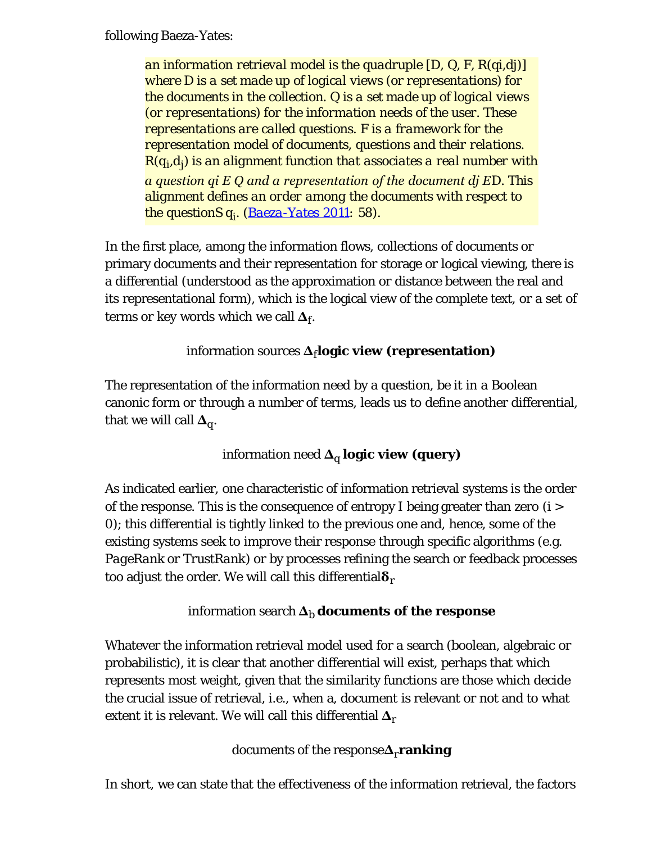following Baeza-Yates:

*an information retrieval model is the quadruple [D, Q, F, R(qi,dj)] where D is a set made up of logical views (or representations) for the documents in the collection. Q is a set made up of logical views (or representations) for the information needs of the user. These representations are called questions. F is a framework for the representation model of documents, questions and their relations. R(qi,dj ) is an alignment function that associates a real number with a question qi Ε Q and a representation of the document dj ΕD. This alignment defines an order among the documents with respect to the questionS qi . ([Baeza-Yates 2011:](#page-24-0) 58).*

In the first place, among the information flows, collections of documents or primary documents and their representation for storage or logical viewing, there is a differential (understood as the approximation or distance between the real and its representational form), which is the logical view of the complete text, or a set of terms or key words which we call  $\Delta_f$ .

#### information sources **Δ**f**logic view (representation)**

The representation of the information need by a question, be it in a Boolean canonic form or through a number of terms, leads us to define another differential, that we will call  $\Delta_{\alpha}$ .

information need **Δ**q **logic view (query)**

As indicated earlier, one characteristic of information retrieval systems is the order of the response. This is the consequence of entropy I being greater than zero (i > 0); this differential is tightly linked to the previous one and, hence, some of the existing systems seek to improve their response through specific algorithms (e.g. *PageRank* or *TrustRank*) or by processes refining the search or feedback processes too adjust the order. We will call this differential**δ**<sup>r</sup>

#### information search  $\Delta_b$  **documents of the response**

Whatever the information retrieval model used for a search (boolean, algebraic or probabilistic), it is clear that another differential will exist, perhaps that which represents most weight, given that the similarity functions are those which decide the crucial issue of retrieval, i.e., when a, document is relevant or not and to what extent it is relevant. We will call this differential **Δ**<sup>r</sup>

#### documents of the response**Δ**r**ranking**

In short, we can state that the effectiveness of the information retrieval, the factors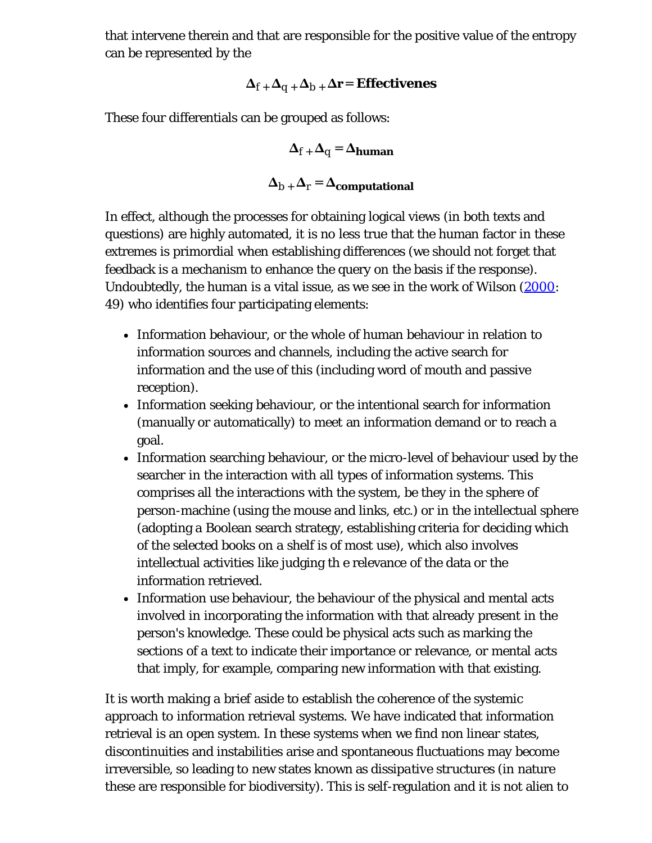that intervene therein and that are responsible for the positive value of the entropy can be represented by the

$$
\Delta_{f}+\Delta_{q}+\Delta_{b}+\Delta r\!=\! \,E f\!f\!ectiveness
$$

These four differentials can be grouped as follows:

$$
\Delta_{f} + \Delta_{q} = \Delta_{human}
$$

$$
\Delta_{b} + \Delta_{r} = \Delta_{computational}
$$

In effect, although the processes for obtaining logical views (in both texts and questions) are highly automated, it is no less true that the human factor in these extremes is primordial when establishing differences (we should not forget that feedback is a mechanism to enhance the query on the basis if the response). Undoubtedly, the human is a vital issue, as we see in the work of Wilson [\(2000](#page-24-0): 49) who identifies four participating elements:

- Information behaviour, or the whole of human behaviour in relation to information sources and channels, including the active search for information and the use of this (including word of mouth and passive reception).
- Information seeking behaviour, or the intentional search for information (manually or automatically) to meet an information demand or to reach a goal.
- Information searching behaviour, or the micro-level of behaviour used by the searcher in the interaction with all types of information systems. This comprises all the interactions with the system, be they in the sphere of person-machine (using the mouse and links, etc.) or in the intellectual sphere (adopting a Boolean search strategy, establishing criteria for deciding which of the selected books on a shelf is of most use), which also involves intellectual activities like judging th e relevance of the data or the information retrieved.
- Information use behaviour, the behaviour of the physical and mental acts involved in incorporating the information with that already present in the person's knowledge. These could be physical acts such as marking the sections of a text to indicate their importance or relevance, or mental acts that imply, for example, comparing new information with that existing.

It is worth making a brief aside to establish the coherence of the systemic approach to information retrieval systems. We have indicated that information retrieval is an open system. In these systems when we find non linear states, discontinuities and instabilities arise and spontaneous fluctuations may become irreversible, so leading to new states known as *dissipative structures* (in nature these are responsible for biodiversity). This is self-regulation and it is not alien to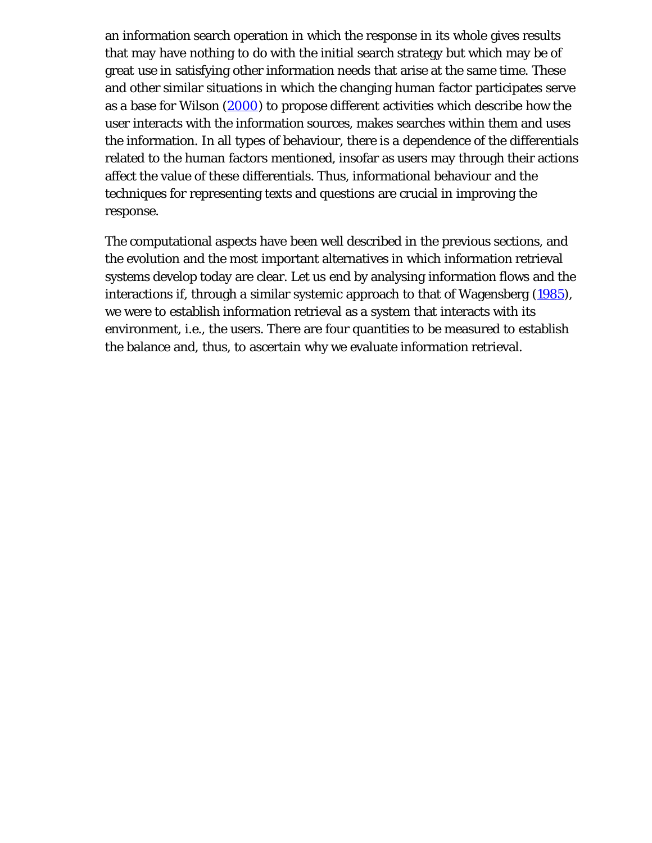an information search operation in which the response in its whole gives results that may have nothing to do with the initial search strategy but which may be of great use in satisfying other information needs that arise at the same time. These and other similar situations in which the changing human factor participates serve as a base for Wilson [\(2000](#page-24-0)) to propose different activities which describe how the user interacts with the information sources, makes searches within them and uses the information. In all types of behaviour, there is a dependence of the differentials related to the human factors mentioned, insofar as users may through their actions affect the value of these differentials. Thus, informational behaviour and the techniques for representing texts and questions are crucial in improving the response.

The computational aspects have been well described in the previous sections, and the evolution and the most important alternatives in which information retrieval systems develop today are clear. Let us end by analysing information flows and the interactions if, through a similar systemic approach to that of Wagensberg [\(1985\)](#page-24-0), we were to establish information retrieval as a system that interacts with its environment, i.e., the users. There are four quantities to be measured to establish the balance and, thus, to ascertain why we evaluate information retrieval.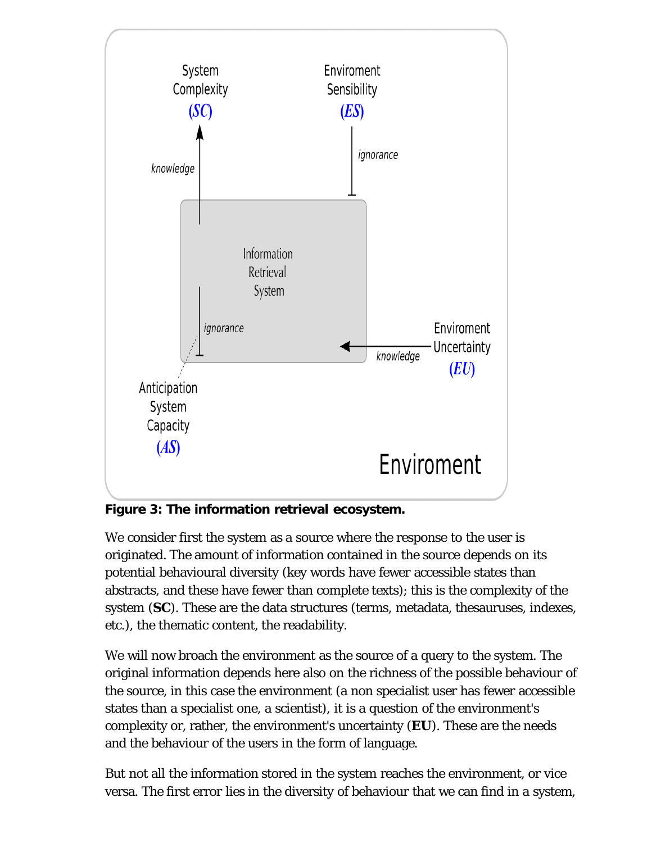

**Figure 3: The information retrieval ecosystem.**

We consider first the system as a source where the response to the user is originated. The amount of information contained in the source depends on its potential behavioural diversity (key words have fewer accessible states than abstracts, and these have fewer than complete texts); this is the complexity of the system (**SC**). These are the data structures (terms, metadata, thesauruses, indexes, etc.), the thematic content, the readability.

We will now broach the environment as the source of a query to the system. The original information depends here also on the richness of the possible behaviour of the source, in this case the environment (a non specialist user has fewer accessible states than a specialist one, a scientist), it is a question of the environment's complexity or, rather, the environment's uncertainty (**EU**). These are the needs and the behaviour of the users in the form of language.

But not all the information stored in the system reaches the environment, or vice versa. The first error lies in the diversity of behaviour that we can find in a system,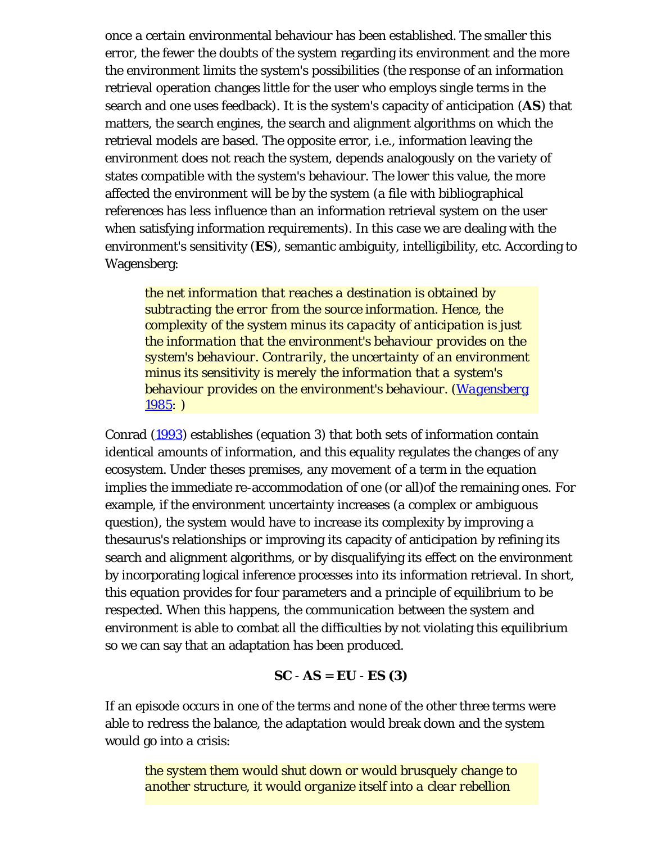once a certain environmental behaviour has been established. The smaller this error, the fewer the doubts of the system regarding its environment and the more the environment limits the system's possibilities (the response of an information retrieval operation changes little for the user who employs single terms in the search and one uses feedback). It is the system's capacity of anticipation (**AS**) that matters, the search engines, the search and alignment algorithms on which the retrieval models are based. The opposite error, i.e., information leaving the environment does not reach the system, depends analogously on the variety of states compatible with the system's behaviour. The lower this value, the more affected the environment will be by the system (a file with bibliographical references has less influence than an information retrieval system on the user when satisfying information requirements). In this case we are dealing with the environment's sensitivity (**ES**), semantic ambiguity, intelligibility, etc. According to Wagensberg:

*the net information that reaches a destination is obtained by subtracting the error from the source information. Hence, the complexity of the system minus its capacity of anticipation is just the information that the environment's behaviour provides on the system's behaviour. Contrarily, the uncertainty of an environment minus its sensitivity is merely the information that a system's behaviour provides on the environment's behaviour. ([Wagensberg](#page-24-0) [1985:](#page-24-0) )*

Conrad ([1993\)](#page-24-0) establishes (equation 3) that both sets of information contain identical amounts of information, and this equality regulates the changes of any ecosystem. Under theses premises, any movement of a term in the equation implies the immediate re-accommodation of one (or all)of the remaining ones. For example, if the environment uncertainty increases (a complex or ambiguous question), the system would have to increase its complexity by improving a thesaurus's relationships or improving its capacity of anticipation by refining its search and alignment algorithms, or by disqualifying its effect on the environment by incorporating logical inference processes into its information retrieval. In short, this equation provides for four parameters and a principle of equilibrium to be respected. When this happens, the communication between the system and environment is able to combat all the difficulties by not violating this equilibrium so we can say that an adaptation has been produced.

**SC** - **AS** = **EU** - **ES (3)**

If an episode occurs in one of the terms and none of the other three terms were able to redress the balance, the adaptation would break down and the system would go into a crisis:

*the system them would shut down or would brusquely change to another structure, it would organize itself into a clear rebellion*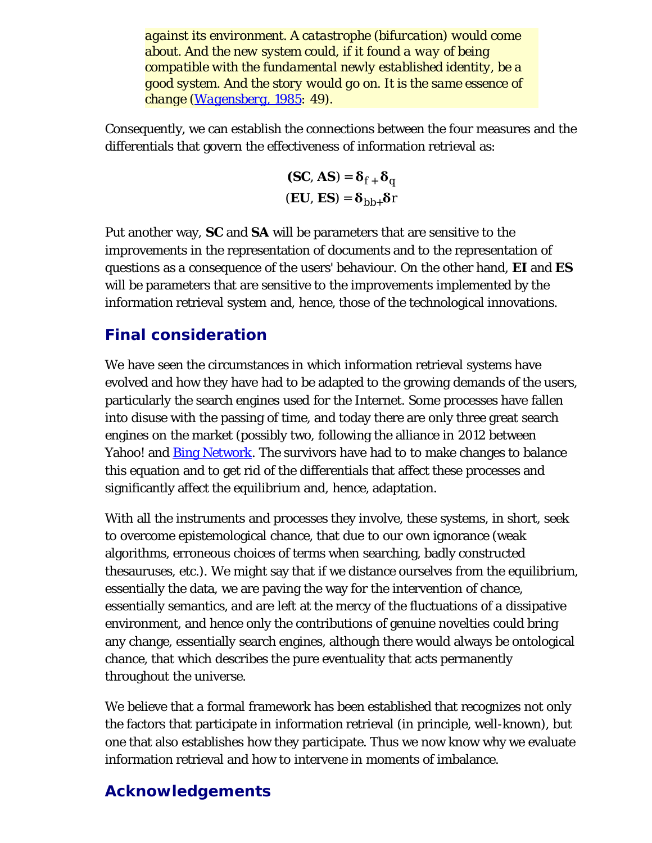*against its environment. A catastrophe (bifurcation) would come about. And the new system could, if it found a way of being compatible with the fundamental newly established identity, be a good system. And the story would go on. It is the same essence of change ([Wagensberg, 1985:](#page-24-0) 49).*

Consequently, we can establish the connections between the four measures and the differentials that govern the effectiveness of information retrieval as:

$$
(\text{SC, AS}) = \delta_{f+} \delta_q
$$

$$
(\text{EU, ES}) = \delta_{bb+} \delta_r
$$

Put another way, **SC** and **SA** will be parameters that are sensitive to the improvements in the representation of documents and to the representation of questions as a consequence of the users' behaviour. On the other hand, **EI** and **ES** will be parameters that are sensitive to the improvements implemented by the information retrieval system and, hence, those of the technological innovations.

# **Final consideration**

We have seen the circumstances in which information retrieval systems have evolved and how they have had to be adapted to the growing demands of the users, particularly the search engines used for the Internet. Some processes have fallen into disuse with the passing of time, and today there are only three great search engines on the market (possibly two, following the alliance in 2012 between Yahoo! and **Bing Network**. The survivors have had to to make changes to balance this equation and to get rid of the differentials that affect these processes and significantly affect the equilibrium and, hence, adaptation.

With all the instruments and processes they involve, these systems, in short, seek to overcome epistemological chance, that due to our own ignorance (weak algorithms, erroneous choices of terms when searching, badly constructed thesauruses, etc.). We might say that if we distance ourselves from the equilibrium, essentially the data, we are paving the way for the intervention of chance, essentially semantics, and are left at the mercy of the fluctuations of a dissipative environment, and hence only the contributions of genuine novelties could bring any change, essentially search engines, although there would always be ontological chance, that which describes the pure eventuality that acts permanently throughout the universe.

We believe that a formal framework has been established that recognizes not only the factors that participate in information retrieval (in principle, well-known), but one that also establishes how they participate. Thus we now know why we evaluate information retrieval and how to intervene in moments of imbalance.

# **Acknowledgements**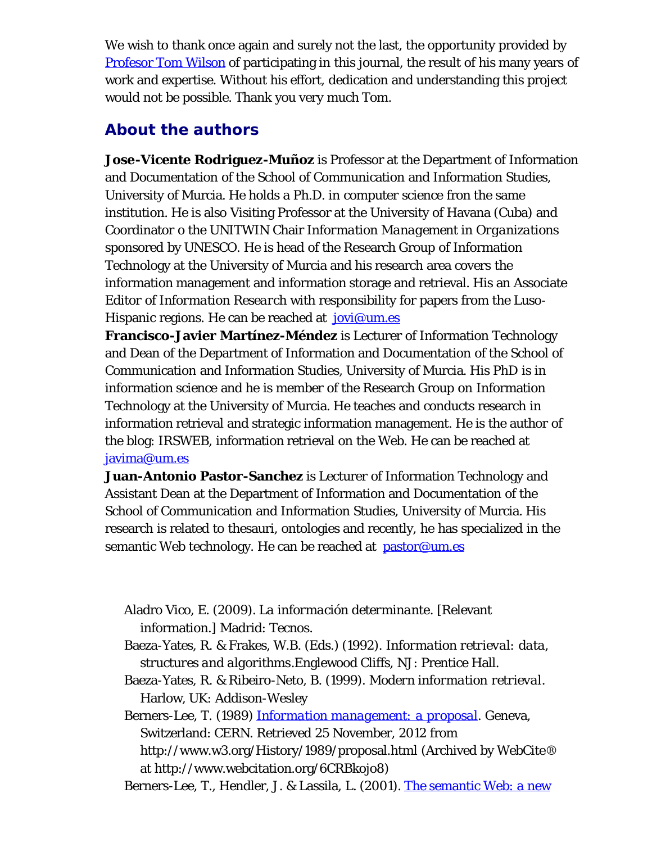We wish to thank once again and surely not the last, the opportunity provided by [Profesor Tom Wilson](http://informationr.net/tdw/) of participating in this journal, the result of his many years of work and expertise. Without his effort, dedication and understanding this project would not be possible. Thank you very much Tom.

### <span id="page-21-0"></span>**About the authors**

**Jose-Vicente Rodriguez-Muñoz** is Professor at the Department of Information and Documentation of the School of Communication and Information Studies, University of Murcia. He holds a Ph.D. in computer science fron the same institution. He is also Visiting Professor at the University of Havana (Cuba) and Coordinator o the UNITWIN Chair *Information Management in Organizations* sponsored by UNESCO. He is head of the Research Group of Information Technology at the University of Murcia and his research area covers the information management and information storage and retrieval. His an Associate Editor of *Information Research* with responsibility for papers from the Luso-Hispanic regions. He can be reached at  $jovi@um.es$ 

**Francisco-Javier Martínez-Méndez** is Lecturer of Information Technology and Dean of the Department of Information and Documentation of the School of Communication and Information Studies, University of Murcia. His PhD is in information science and he is member of the Research Group on Information Technology at the University of Murcia. He teaches and conducts research in information retrieval and strategic information management. He is the author of the blog: IRSWEB, information retrieval on the Web. He can be reached at [javima@um.es](mailto:javima@um.es)

**Juan-Antonio Pastor-Sanchez** is Lecturer of Information Technology and Assistant Dean at the Department of Information and Documentation of the School of Communication and Information Studies, University of Murcia. His research is related to thesauri, ontologies and recently, he has specialized in the semantic Web technology. He can be reached at [pastor@um.es](mailto:pastor@um.es)

Aladro Vico, E. (2009). *La información determinante*. [Relevant information.] Madrid: Tecnos.

- Baeza-Yates, R. & Frakes, W.B. (Eds.) (1992). *Information retrieval: data, structures and algorithms*.Englewood Cliffs, NJ: Prentice Hall.
- Baeza-Yates, R. & Ribeiro-Neto, B. (1999). *Modern information retrieval*. Harlow, UK: Addison-Wesley

Berners-Lee, T. (1989) *[Information management: a proposal](http://www.webcitation.org/6CRBkojo8)*. Geneva, Switzerland: CERN. Retrieved 25 November, 2012 from http://www.w3.org/History/1989/proposal.html (Archived by WebCite® at http://www.webcitation.org/6CRBkojo8)

Berners-Lee, T., Hendler, J. & Lassila, L. (2001). [The semantic Web: a new](http://www.webcitation.org/5hm6NbuPU)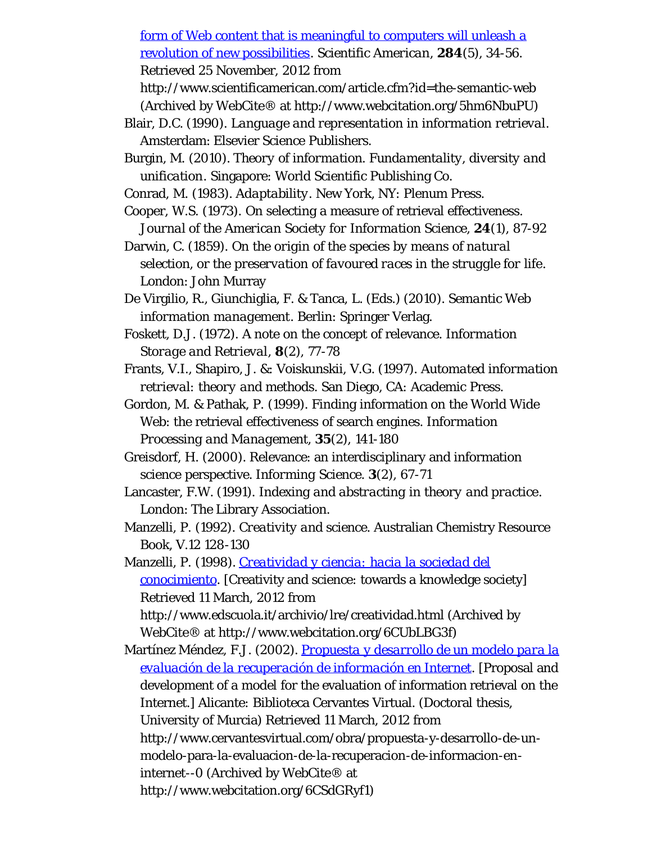[form of Web content that is meaningful to computers will unleash a](http://www.webcitation.org/5hm6NbuPU) [revolution of new possibilities.](http://www.webcitation.org/5hm6NbuPU) *Scientific American*, **284**(5), 34-56. Retrieved 25 November, 2012 from

http://www.scientificamerican.com/article.cfm?id=the-semantic-web (Archived by WebCite® at http://www.webcitation.org/5hm6NbuPU)

Blair, D.C. (1990). *Language and representation in information retrieval*. Amsterdam: Elsevier Science Publishers.

Burgin, M. (2010). *Theory of information. Fundamentality, diversity and unification*. Singapore: World Scientific Publishing Co.

Conrad, M. (1983). *Adaptability*. New York, NY: Plenum Press.

- Cooper, W.S. (1973). On selecting a measure of retrieval effectiveness. *Journal of the American Society for Information Science*, **24**(1), 87-92
- Darwin, C. (1859). *On the origin of the species by means of natural selection, or the preservation of favoured races in the struggle for life*. London: John Murray
- De Virgilio, R., Giunchiglia, F. & Tanca, L. (Eds.) (2010). *Semantic Web information management*. Berlin: Springer Verlag.
- Foskett, D.J. (1972). A note on the concept of relevance. *Information Storage and Retrieval*, **8**(2), 77-78
- Frants, V.I., Shapiro, J. &: Voiskunskii, V.G. (1997). *Automated information retrieval: theory and methods*. San Diego, CA: Academic Press.
- Gordon, M. & Pathak, P. (1999). Finding information on the World Wide Web: the retrieval effectiveness of search engines. *Information Processing and Management*, **35**(2), 141-180
- Greisdorf, H. (2000). Relevance: an interdisciplinary and information science perspective. *Informing Science*. **3**(2), 67-71
- Lancaster, F.W. (1991). *Indexing and abstracting in theory and practice*. London: The Library Association.
- Manzelli, P. (1992). *Creativity and science*. Australian Chemistry Resource Book, V.12 128-130

Manzelli, P. (1998). *[Creatividad y ciencia: hacia la sociedad del](http://www.webcitation.org/6CUbLBG3f) [conocimiento](http://www.webcitation.org/6CUbLBG3f)*. [Creativity and science: towards a knowledge society] Retrieved 11 March, 2012 from http://www.edscuola.it/archivio/lre/creatividad.html (Archived by WebCite® at http://www.webcitation.org/6CUbLBG3f)

Martínez Méndez, F.J. (2002). *[Propuesta y desarrollo de un modelo para la](http://www.webcitation.org/6CSdGRyf1) [evaluación de la recuperación de información en Internet](http://www.webcitation.org/6CSdGRyf1)*. [Proposal and development of a model for the evaluation of information retrieval on the Internet.] Alicante: Biblioteca Cervantes Virtual. (Doctoral thesis, University of Murcia) Retrieved 11 March, 2012 from http://www.cervantesvirtual.com/obra/propuesta-y-desarrollo-de-unmodelo-para-la-evaluacion-de-la-recuperacion-de-informacion-eninternet--0 (Archived by WebCite® at http://www.webcitation.org/6CSdGRyf1)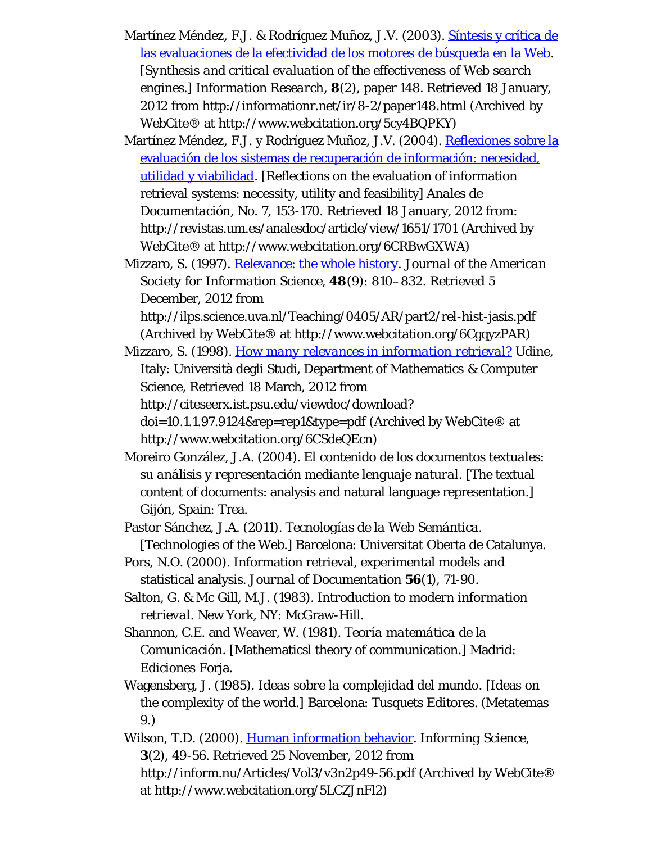- Martínez Méndez, F.J. & Rodríguez Muñoz, J.V. (2003). [Síntesis y crítica de](http://www.webcitation.org/5cy4BQPKY) [las evaluaciones de la efectividad de los motores de búsqueda en la Web.](http://www.webcitation.org/5cy4BQPKY) *[Synthesis and critical evaluation of the effectiveness of Web search engines.] Information Research*, **8**(2), paper 148. Retrieved 18 January, 2012 from http://informationr.net/ir/8-2/paper148.html (Archived by WebCite® at http://www.webcitation.org/5cy4BQPKY)
- Martínez Méndez, F.J. y Rodríguez Muñoz, J.V. (2004). [Reflexiones sobre la](http://www.webcitation.org/6CRBwGXWA) [evaluación de los sistemas de recuperación de información: necesidad,](http://www.webcitation.org/6CRBwGXWA) [utilidad y viabilidad.](http://www.webcitation.org/6CRBwGXWA) [Reflections on the evaluation of information retrieval systems: necessity, utility and feasibility] *Anales de Documentación*, No. 7, 153-170. Retrieved 18 January, 2012 from: http://revistas.um.es/analesdoc/article/view/1651/1701 (Archived by WebCite® at http://www.webcitation.org/6CRBwGXWA)
- Mizzaro, S. (1997). [Relevance: the whole history.](http://www.webcitation.org/6CgqyzPAR) *Journal of the American Society for Information Science*, **48**(9): 810–832. Retrieved 5 December, 2012 from

http://ilps.science.uva.nl/Teaching/0405/AR/part2/rel-hist-jasis.pdf (Archived by WebCite® at http://www.webcitation.org/6CgqyzPAR)

- Mizzaro, S. (1998). *[How many relevances in information retrieval?](http://www.webcitation.org/6CSdeQEcn)* Udine, Italy: Università degli Studi, Department of Mathematics & Computer Science, Retrieved 18 March, 2012 from http://citeseerx.ist.psu.edu/viewdoc/download? doi=10.1.1.97.9124&rep=rep1&type=pdf (Archived by WebCite® at http://www.webcitation.org/6CSdeQEcn)
- Moreiro González, J.A. (2004). *El contenido de los documentos textuales: su análisis y representación mediante lenguaje natural*. [The textual content of documents: analysis and natural language representation.] Gijón, Spain: Trea.
- Pastor Sánchez, J.A. (2011). *Tecnologías de la Web Semántica.* [Technologies of the Web.] Barcelona: Universitat Oberta de Catalunya.
- Pors, N.O. (2000). Information retrieval, experimental models and statistical analysis. *Journal of Documentation* **56**(1), 71-90.
- Salton, G. & Mc Gill, M.J. (1983). *Introduction to modern information retrieval*. New York, NY: McGraw-Hill.
- Shannon, C.E. and Weaver, W. (1981). *Teoría matemática de la Comunicación*. [Mathematicsl theory of communication.] Madrid: Ediciones Forja.
- Wagensberg, J. (1985). *Ideas sobre la complejidad del mundo*. [Ideas on the complexity of the world.] Barcelona: Tusquets Editores. (Metatemas 9.)
- Wilson, T.D. (2000). [Human information behavior](http://www.webcitation.org/5LCZJnFl2). *Informing Science*, **3**(2), 49-56. Retrieved 25 November, 2012 from http://inform.nu/Articles/Vol3/v3n2p49-56.pdf (Archived by WebCite® at http://www.webcitation.org/5LCZJnFl2)